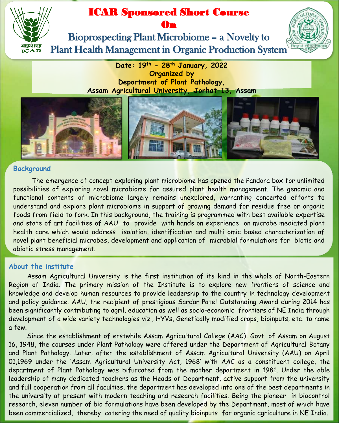# ICAR Sponsored Short Course



## On

Bioprospecting Plant Microbiome – a Novelty to Plant Health Management in Organic Production System



**Date: 19th - 28th January, 2022 Organized by Department of Plant Pathology, Assam Agricultural University, Jorhat-13, Assam**



## **Background**

The emergence of concept exploring plant microbiome has opened the Pandora box for unlimited possibilities of exploring novel microbiome for assured plant health management. The genomic and functional contents of microbiome largely remains unexplored, warranting concerted efforts to understand and explore plant microbiome in support of growing demand for residue free or organic foods from field to fork. In this background, the training is programmed with best available expertise and state of art facilities of AAU to provide with hands on experience on microbe mediated plant health care which would address isolation, identification and multi omic based characterization of novel plant beneficial microbes, development and application of microbial formulations for biotic and abiotic stress management.

## **About the institute**

Assam Agricultural University is the first institution of its kind in the whole of North-Eastern Region of India. The primary mission of the Institute is to explore new frontiers of science and knowledge and develop human resources to provide leadership to the country in technology development and policy guidance. AAU, the recipient of prestigious Sardar Patel Outstanding Award during 2014 has been significantly contributing to agril. education as well as socio-economic frontiers of NE India through development of a wide variety technologies viz., HYVs, Genetically modified crops, bioinputs, etc. to name a few.

Since the establishment of erstwhile Assam Agricultural College (AAC), Govt. of Assam on August 16, 1948, the courses under Plant Pathology were offered under the Department of Agricultural Botany and Plant Pathology. Later, after the establishment of Assam Agricultural University (AAU) on April 01,1969 under the 'Assam Agricultural University Act, 1968' with AAC as a constituent college, the department of Plant Pathology was bifurcated from the mother department in 1981. Under the able leadership of many dedicated teachers as the Heads of Department, active support from the university and full cooperation from all faculties, the department has developed into one of the best departments in the university at present with modern teaching and research facilities. Being the pioneer in biocontrol research, eleven number of bio formulations have been developed by the Department, most of which have been commercialized, thereby catering the need of quality bioinputs for organic agriculture in NE India.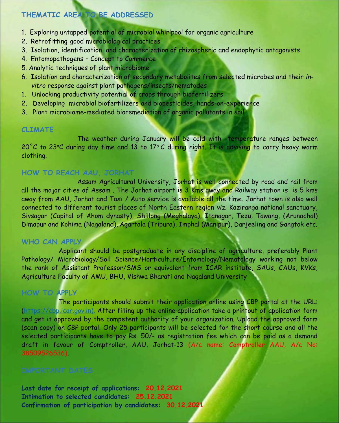## **THEMATIC AREA TO BE ADDRESSED**

- 1. Exploring untapped potential of microbial whirlpool for organic agriculture
- 2. Retrofitting good microbiological practices
- 3. Isolation, identification, and characterization of rhizospheric and endophytic antagonists
- 4. Entomopathogens Concept to Commerce
- 5. Analytic techniques of plant microbiome
- 6. Isolation and characterization of secondary metabolites from selected microbes and their *invitro* response against plant pathogens/insects/nematodes
- 1. Unlocking productivity potential of crops through biofertilizers
- 2. Developing microbial biofertilizers and biopesticides, hands-on-experience
- 3. Plant microbiome-mediated bioremediation of organic pollutants in soil

## **CLIMATE**

The weather during January will be cold with temperature ranges between 20°C to 23°C during day time and 13 to 17°C during night. It is advising to carry heavy warm clothing.

## **HOW TO REACH AAU, JORHAT**

Assam Agricultural University, Jorhat is well connected by road and rail from all the major cities of Assam. The Jorhat airport is 3 Kms away and Railway station is is 5 kms away from AAU, Jorhat and Taxi / Auto service is available all the time. Jorhat town is also well connected to different tourist places of North Eastern region *viz*. Kaziranga national sanctuary, Sivsagar (Capital of Ahom dynasty), Shillong (Meghalaya), Itanagar, Tezu, Tawang, (Arunachal) Dimapur and Kohima (Nagaland), Agartala (Tripura), Imphal (Manipur), Darjeeling and Gangtok etc.

## **WHO CAN APPLY**

Applicant should be postgraduate in any discipline of agriculture, preferably Plant Pathology/ Microbiology/Soil Science/Horticulture/Entomology/Nematology working not below the rank of Assistant Professor/SMS or equivalent from ICAR institute, SAUs, CAUs, KVKs, Agriculture Faculty of AMU, BHU, Vishwa Bharati and Nagaland University

## **HOW TO APPLY**

The participants should submit their application online using CBP portal at the URL: ([https://cbp.icar.gov.in\).](https://cbp.icar.gov.in/) After filling up the online application take a printout of application form and get it approved by the competent authority of your organization. Upload the approved form (scan copy) on CBP portal. Only 25 participants will be selected for the short course and all the selected participants have to pay Rs. 50/- as registration fee which can be paid as a demand draft in favour of Comptroller, AAU, Jorhat-13 (A/c name: Comptroller AAU, A/c No: 38509526536).

**Last date for receipt of applications: 20.12.2021 Intimation to selected candidates: 25.12.2021 Confirmation of participation by candidates: 30.12.2021**